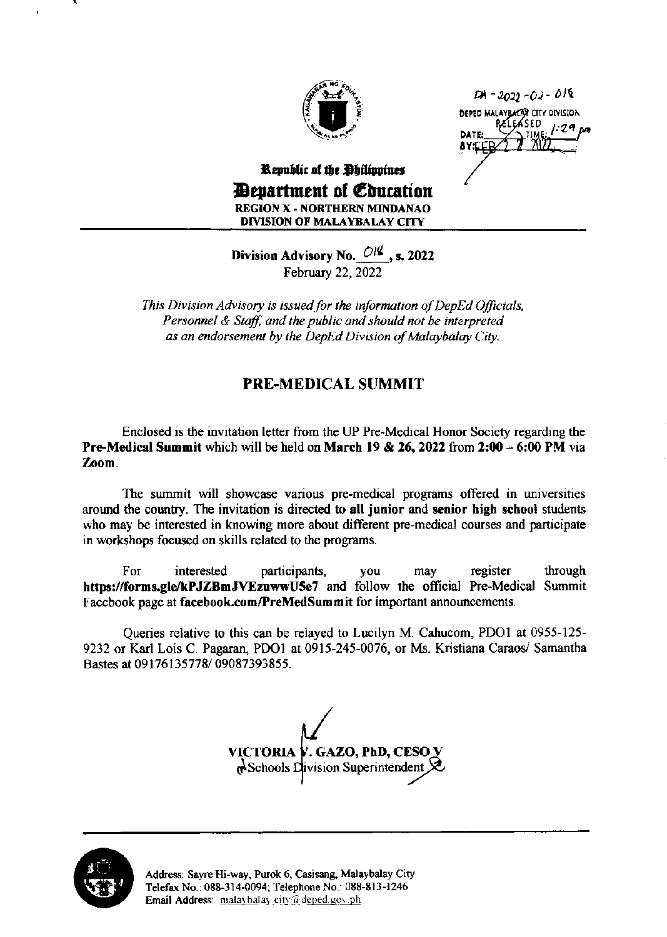

 $D1 - 2022 - 02 - 018$ DEPED MALAYBACAT CITY DIVISION RELEASED **DAT** 

## Republic of the Philippines *Bevartment of Coucation* **REGION X - NORTHERN MINDANAO DIVISION OF MALAYBALAY CITY**

Division Advisory No.  $O/\frac{2}{3}$ , s. 2022 February 22, 2022

This Division Advisory is issued for the information of DepEd Officials, Personnel & Staff, and the public and should not be interpreted as an endorsement by the DepEd Division of Malaybalay City.

## **PRE-MEDICAL SUMMIT**

Enclosed is the invitation letter from the UP Pre-Medical Honor Society regarding the **Pre-Medical Summit which will be held on March 19 & 26, 2022 from 2:00 - 6:00 PM via** Zoom.

The summit will showcase various pre-medical programs offered in universities around the country. The invitation is directed to all junior and senior high school students who may be interested in knowing more about different pre-medical courses and participate in workshops focused on skills related to the programs.

For interested participants, register through vou may https://forms.gle/kPJZBmJVEzuwwU5e7 and follow the official Pre-Medical Summit Facebook page at facebook.com/PreMedSummit for important announcements.

Queries relative to this can be relayed to Lucilyn M. Cahucom, PDO1 at 0955-125-9232 or Karl Lois C. Pagaran, PDO1 at 0915-245-0076, or Ms. Kristiana Caraos/ Samantha Bastes at 09176135778/09087393855.